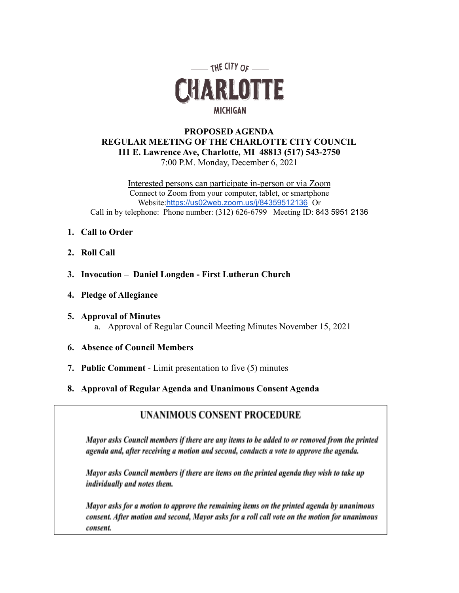

## **PROPOSED AGENDA REGULAR MEETING OF THE CHARLOTTE CITY COUNCIL 111 E. Lawrence Ave, Charlotte, MI 48813 (517) 543-2750** 7:00 P.M. Monday, December 6, 2021

Interested persons can participate in-person or via Zoom Connect to Zoom from your computer, tablet, or smartphone Website:<https://us02web.zoom.us/j/84359512136> Or Call in by telephone: Phone number: (312) 626-6799 Meeting ID: 843 5951 2136

- **1. Call to Order**
- **2. Roll Call**
- **3. Invocation Daniel Longden First Lutheran Church**
- **4. Pledge of Allegiance**
- **5. Approval of Minutes** a. Approval of Regular Council Meeting Minutes November 15, 2021
- **6. Absence of Council Members**
- **7. Public Comment** Limit presentation to five (5) minutes
- **8. Approval of Regular Agenda and Unanimous Consent Agenda**

# **UNANIMOUS CONSENT PROCEDURE**

Mayor asks Council members if there are any items to be added to or removed from the printed agenda and, after receiving a motion and second, conducts a vote to approve the agenda.

Mayor asks Council members if there are items on the printed agenda they wish to take up individually and notes them.

Mayor asks for a motion to approve the remaining items on the printed agenda by unanimous consent. After motion and second, Mayor asks for a roll call vote on the motion for unanimous consent.